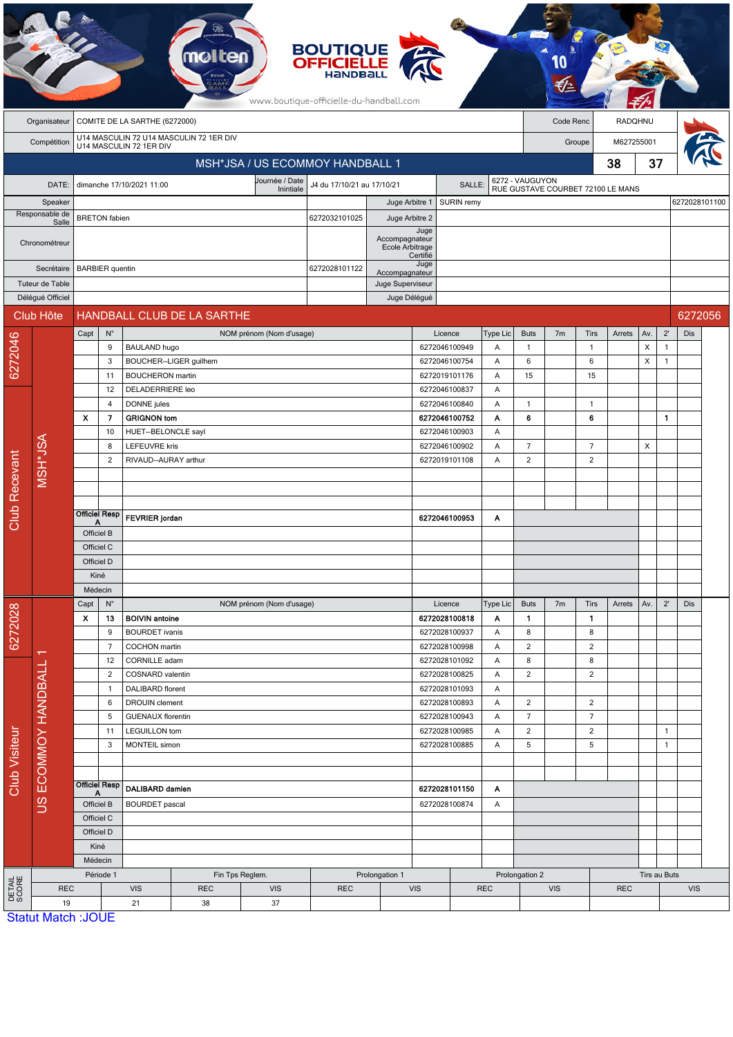|                                    |                           |                               |                                 |                                                                                                             | mo                                                                 |               |                             | <b>BOUTIQUE</b><br><b>OFFICIELLE</b><br><b>HaNDBal</b><br>www.boutique-officielle-du-handball.com |                                                       |               |                                |                |                     |                                                      |                                 |            |              |                              |         |  |
|------------------------------------|---------------------------|-------------------------------|---------------------------------|-------------------------------------------------------------------------------------------------------------|--------------------------------------------------------------------|---------------|-----------------------------|---------------------------------------------------------------------------------------------------|-------------------------------------------------------|---------------|--------------------------------|----------------|---------------------|------------------------------------------------------|---------------------------------|------------|--------------|------------------------------|---------|--|
|                                    | Organisateur              | COMITE DE LA SARTHE (6272000) |                                 |                                                                                                             |                                                                    |               |                             |                                                                                                   |                                                       |               |                                | Code Renc      |                     |                                                      | RADQHNU                         |            |              |                              |         |  |
|                                    | Compétition               |                               |                                 |                                                                                                             | U14 MASCULIN 72 U14 MASCULIN 72 1ER DIV<br>U14 MASCULIN 72 1ER DIV |               |                             |                                                                                                   |                                                       |               |                                |                |                     | M627255001<br>Groupe                                 |                                 |            |              |                              |         |  |
|                                    |                           |                               | MSH*JSA / US ECOMMOY HANDBALL 1 |                                                                                                             |                                                                    |               |                             |                                                                                                   |                                                       |               |                                |                |                     |                                                      |                                 | 38         | 37           |                              |         |  |
|                                    |                           |                               |                                 | dimanche 17/10/2021 11:00                                                                                   |                                                                    |               | Journée / Date              | J4 du 17/10/21 au 17/10/21                                                                        |                                                       |               | SALLE:                         |                |                     |                                                      |                                 |            |              |                              |         |  |
| DATE:<br>Speaker<br>Responsable de |                           |                               |                                 |                                                                                                             |                                                                    |               | Inintiale<br>Juge Arbitre 1 |                                                                                                   |                                                       |               | SURIN remy                     |                |                     | 6272 - VAUGUYON<br>RUE GUSTAVE COURBET 72100 LE MANS |                                 |            |              | 6272028101100                |         |  |
|                                    |                           | <b>BRETON</b> fabien          |                                 |                                                                                                             |                                                                    | 6272032101025 |                             |                                                                                                   | Juge Arbitre 2                                        |               |                                |                |                     |                                                      |                                 |            |              |                              |         |  |
|                                    | Salle<br>Chronométreur    |                               |                                 |                                                                                                             |                                                                    |               |                             |                                                                                                   | Juge<br>Accompagnateur<br>Ecole Arbitrage<br>Certifié |               |                                |                |                     |                                                      |                                 |            |              |                              |         |  |
|                                    | Secrétaire                |                               | <b>BARBIER</b> quentin          |                                                                                                             |                                                                    |               |                             | 6272028101122                                                                                     | Accompagnateur                                        | Juge          |                                |                |                     |                                                      |                                 |            |              |                              |         |  |
|                                    | Tuteur de Table           |                               |                                 |                                                                                                             |                                                                    |               |                             |                                                                                                   | Juge Superviseur                                      |               |                                |                |                     |                                                      |                                 |            |              |                              |         |  |
|                                    | Délégué Officiel          |                               |                                 |                                                                                                             |                                                                    |               |                             |                                                                                                   | Juge Délégué                                          |               |                                |                |                     |                                                      |                                 |            |              |                              |         |  |
|                                    | Club Hôte                 |                               |                                 |                                                                                                             | HANDBALL CLUB DE LA SARTHE                                         |               |                             |                                                                                                   |                                                       |               |                                |                |                     |                                                      |                                 |            |              |                              | 6272056 |  |
|                                    |                           | Capt                          | $N^{\circ}$                     |                                                                                                             |                                                                    |               | NOM prénom (Nom d'usage)    |                                                                                                   |                                                       |               | Licence                        | Type Lic       | <b>Buts</b>         | 7 <sub>m</sub>                                       | <b>Tirs</b>                     | Arrets     | Av.          | $2^{\prime}$                 | Dis     |  |
| 6272046                            |                           |                               | 9<br>3                          | <b>BAULAND hugo</b>                                                                                         | BOUCHER--LIGER guilhem                                             |               |                             |                                                                                                   |                                                       |               | 6272046100949<br>6272046100754 | A<br>Α         | $\overline{1}$<br>6 |                                                      | $\mathbf{1}$<br>$6\phantom{1}6$ |            | X<br>X       | $\mathbf{1}$<br>$\mathbf{1}$ |         |  |
|                                    |                           |                               | 11                              | <b>BOUCHERON</b> martin                                                                                     |                                                                    |               |                             |                                                                                                   |                                                       |               | 6272019101176                  | Α              | 15                  |                                                      | 15                              |            |              |                              |         |  |
|                                    |                           |                               | 12                              | DELADERRIERE leo                                                                                            |                                                                    |               |                             |                                                                                                   |                                                       |               | 6272046100837                  | A              |                     |                                                      |                                 |            |              |                              |         |  |
|                                    |                           |                               | 4                               | DONNE jules                                                                                                 |                                                                    |               |                             |                                                                                                   |                                                       |               | 6272046100840                  | Α              | $\overline{1}$      |                                                      | $\mathbf{1}$                    |            |              |                              |         |  |
|                                    |                           | $\mathbf{x}$                  | 7                               | <b>GRIGNON tom</b>                                                                                          |                                                                    |               |                             |                                                                                                   |                                                       |               | 6272046100752                  | Α              | 6                   |                                                      | 6                               |            |              | $\mathbf{1}$                 |         |  |
|                                    | MSH*JSA                   |                               | 10<br>8                         | HUET--BELONCLE sayl<br><b>LEFEUVRE kris</b>                                                                 |                                                                    |               |                             |                                                                                                   |                                                       |               | 6272046100903<br>6272046100902 | A<br>Α         | $\overline{7}$      |                                                      | $\overline{7}$                  |            | X            |                              |         |  |
|                                    |                           |                               | 2                               | RIVAUD--AURAY arthur                                                                                        |                                                                    |               |                             |                                                                                                   |                                                       |               | 6272019101108                  | Α              | $\overline{c}$      |                                                      | $\overline{c}$                  |            |              |                              |         |  |
|                                    |                           |                               |                                 |                                                                                                             |                                                                    |               |                             |                                                                                                   |                                                       |               |                                |                |                     |                                                      |                                 |            |              |                              |         |  |
|                                    |                           |                               |                                 |                                                                                                             |                                                                    |               |                             |                                                                                                   |                                                       |               |                                |                |                     |                                                      |                                 |            |              |                              |         |  |
| Club Recevant                      |                           | <b>Officiel Resp</b>          |                                 |                                                                                                             |                                                                    |               |                             |                                                                                                   |                                                       |               |                                |                |                     |                                                      |                                 |            |              |                              |         |  |
|                                    |                           |                               |                                 | <b>FEVRIER</b> jordan                                                                                       |                                                                    |               |                             |                                                                                                   |                                                       | 6272046100953 | Α                              |                |                     |                                                      |                                 |            |              |                              |         |  |
|                                    |                           | Officiel B<br>Officiel C      |                                 |                                                                                                             |                                                                    |               |                             |                                                                                                   |                                                       |               |                                |                |                     |                                                      |                                 |            |              |                              |         |  |
|                                    |                           | Officiel D                    |                                 |                                                                                                             |                                                                    |               |                             |                                                                                                   |                                                       |               |                                |                |                     |                                                      |                                 |            |              |                              |         |  |
|                                    |                           | Kiné                          |                                 |                                                                                                             |                                                                    |               |                             |                                                                                                   |                                                       |               |                                |                |                     |                                                      |                                 |            |              |                              |         |  |
|                                    |                           | Médecin                       |                                 |                                                                                                             |                                                                    |               |                             |                                                                                                   |                                                       |               |                                |                |                     |                                                      |                                 |            |              |                              |         |  |
|                                    |                           | Capt                          | $N^{\circ}$                     |                                                                                                             |                                                                    |               | NOM prénom (Nom d'usage)    |                                                                                                   |                                                       |               | Licence                        | Type Lic       | <b>Buts</b>         | 7 <sub>m</sub>                                       | Tirs                            | Arrets     | Av.          | $2^{\prime}$                 | Dis     |  |
| 6272028                            |                           | x                             | 13<br>9                         | <b>BOIVIN antoine</b><br><b>BOURDET</b> ivanis                                                              |                                                                    |               |                             |                                                                                                   |                                                       |               | 6272028100818<br>6272028100937 | Α<br>Α         | $\mathbf{1}$<br>8   |                                                      | $\mathbf{1}$<br>8               |            |              |                              |         |  |
|                                    |                           |                               | $\overline{7}$                  | COCHON martin                                                                                               |                                                                    |               |                             |                                                                                                   |                                                       |               | 6272028100998                  | Α              | $\overline{2}$      |                                                      | 2                               |            |              |                              |         |  |
|                                    |                           |                               | 12                              | CORNILLE adam                                                                                               |                                                                    |               |                             |                                                                                                   |                                                       |               | 6272028101092                  | Α              | 8                   |                                                      | 8                               |            |              |                              |         |  |
|                                    |                           |                               | $\overline{c}$                  | COSNARD valentin                                                                                            |                                                                    |               |                             |                                                                                                   |                                                       |               | 6272028100825                  | Α              | $\overline{2}$      |                                                      | $\overline{c}$                  |            |              |                              |         |  |
|                                    |                           |                               | $\mathbf{1}$<br>6               | <b>DALIBARD</b> florent<br><b>DROUIN</b> clement                                                            |                                                                    |               |                             |                                                                                                   |                                                       |               | 6272028101093<br>6272028100893 | Α<br>Α         | $\overline{2}$      |                                                      | $\overline{2}$                  |            |              |                              |         |  |
|                                    | US ECOMMOY HANDBALL       |                               | 5                               | <b>GUENAUX florentin</b>                                                                                    |                                                                    |               |                             |                                                                                                   |                                                       |               | 6272028100943                  | Α              | $\overline{7}$      |                                                      | $\overline{7}$                  |            |              |                              |         |  |
| <b>Club Visiteur</b>               |                           |                               | 11                              | <b>LEGUILLON</b> tom                                                                                        |                                                                    |               |                             |                                                                                                   |                                                       |               | 6272028100985                  | Α              | $\overline{2}$      |                                                      | $\overline{c}$                  |            |              | $\mathbf{1}$                 |         |  |
|                                    |                           |                               | 3                               | MONTEIL simon                                                                                               |                                                                    |               |                             |                                                                                                   |                                                       |               | 6272028100885                  | Α              | 5                   |                                                      | 5                               |            |              | $\mathbf{1}$                 |         |  |
|                                    |                           |                               |                                 |                                                                                                             |                                                                    |               |                             |                                                                                                   |                                                       |               |                                |                |                     |                                                      |                                 |            |              |                              |         |  |
|                                    |                           |                               | <b>Officiel Resp</b>            |                                                                                                             |                                                                    |               |                             |                                                                                                   |                                                       |               |                                |                |                     |                                                      |                                 |            |              |                              |         |  |
|                                    |                           |                               | A<br>Officiel B                 | <b>DALIBARD damien</b>                                                                                      |                                                                    |               |                             | 6272028101150<br>6272028100874                                                                    |                                                       | Α             |                                |                |                     |                                                      |                                 |            |              |                              |         |  |
|                                    |                           |                               | Officiel C                      | <b>BOURDET</b> pascal                                                                                       |                                                                    |               |                             | Α                                                                                                 |                                                       |               |                                |                |                     |                                                      |                                 |            |              |                              |         |  |
|                                    |                           |                               | Officiel D                      |                                                                                                             |                                                                    |               |                             |                                                                                                   |                                                       |               |                                |                |                     |                                                      |                                 |            |              |                              |         |  |
|                                    |                           | Kiné                          |                                 |                                                                                                             |                                                                    |               |                             |                                                                                                   |                                                       |               |                                |                |                     |                                                      |                                 |            |              |                              |         |  |
|                                    |                           |                               | Médecin                         |                                                                                                             |                                                                    |               |                             |                                                                                                   |                                                       |               |                                |                |                     |                                                      |                                 |            |              |                              |         |  |
| DETAIL<br>SCORE                    | <b>REC</b>                | Période 1                     |                                 | Fin Tps Reglem.<br>Prolongation 1<br><b>VIS</b><br><b>REC</b><br><b>VIS</b><br><b>REC</b><br>21<br>37<br>38 |                                                                    |               |                             |                                                                                                   | <b>VIS</b>                                            |               | <b>REC</b>                     | Prolongation 2 | <b>VIS</b>          |                                                      |                                 |            | Tirs au Buts | <b>VIS</b>                   |         |  |
|                                    | 19                        |                               |                                 |                                                                                                             |                                                                    |               |                             |                                                                                                   |                                                       |               |                                |                |                     |                                                      |                                 | <b>REC</b> |              |                              |         |  |
|                                    | <b>Statut Match: JOUE</b> |                               |                                 |                                                                                                             |                                                                    |               |                             |                                                                                                   |                                                       |               |                                |                |                     |                                                      |                                 |            |              |                              |         |  |